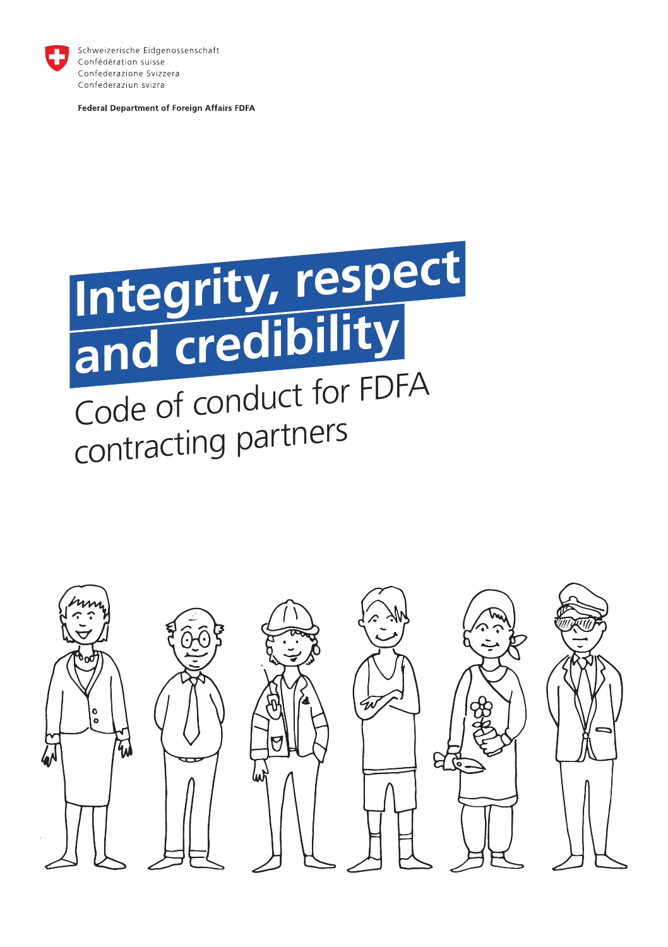

Schweizerische Eidgenossenschaft Confédération suisse Confederazione Svizzera Confederaziun svizra

Federal Department of Foreign Affairs FDFA



# Code of conduct for FDFA contracting partners